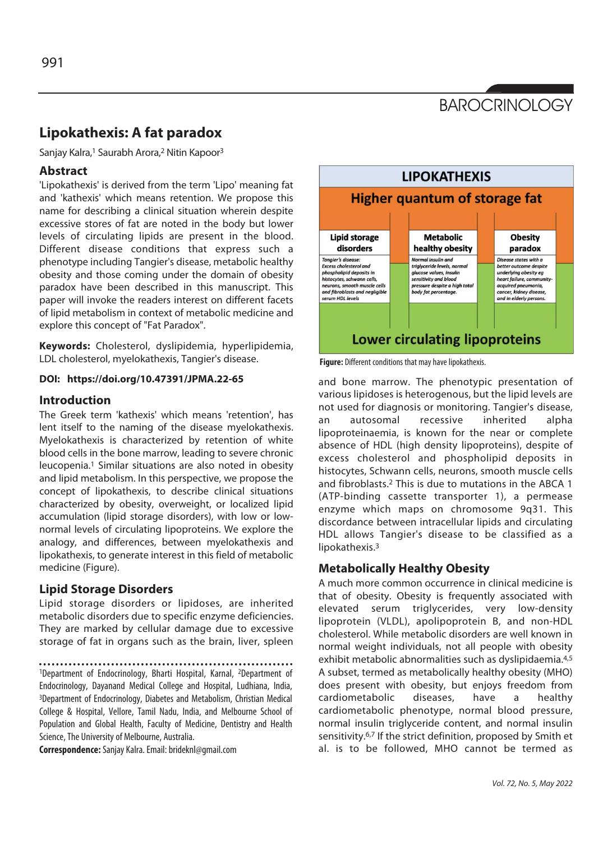# **BAROCRINOLOGY**

## **Lipokathexis: A fat paradox**

Sanjay Kalra,<sup>1</sup> Saurabh Arora,<sup>2</sup> Nitin Kapoor<sup>3</sup>

## **Abstract**

'Lipokathexis' is derived from the term 'Lipo' meaning fat and 'kathexis' which means retention. We propose this name for describing a clinical situation wherein despite excessive stores of fat are noted in the body but lower levels of circulating lipids are present in the blood. Different disease conditions that express such a phenotype including Tangier's disease, metabolic healthy obesity and those coming under the domain of obesity paradox have been described in this manuscript. This paper will invoke the readers interest on different facets of lipid metabolism in context of metabolic medicine and explore this concept of "Fat Paradox".

**Keywords:** Cholesterol, dyslipidemia, hyperlipidemia, LDL cholesterol, myelokathexis, Tangier's disease.

#### **DOI: https://doi.org/10.47391/JPMA.22-65**

## **Introduction**

The Greek term 'kathexis' which means 'retention', has lent itself to the naming of the disease myelokathexis. Myelokathexis is characterized by retention of white blood cells in the bone marrow, leading to severe chronic leucopenia.1 Similar situations are also noted in obesity and lipid metabolism. In this perspective, we propose the concept of lipokathexis, to describe clinical situations characterized by obesity, overweight, or localized lipid accumulation (lipid storage disorders), with low or lownormal levels of circulating lipoproteins. We explore the analogy, and differences, between myelokathexis and lipokathexis, to generate interest in this field of metabolic medicine (Figure).

## **Lipid Storage Disorders**

Lipid storage disorders or lipidoses, are inherited metabolic disorders due to specific enzyme deficiencies. They are marked by cellular damage due to excessive storage of fat in organs such as the brain, liver, spleen

1Department of Endocrinology, Bharti Hospital, Karnal, <sup>2</sup>Department of Endocrinology, Dayanand Medical College and Hospital, Ludhiana, India, 3Department of Endocrinology, Diabetes and Metabolism, Christian Medical College & Hospital, Vellore, Tamil Nadu, India, and Melbourne School of Population and Global Health, Faculty of Medicine, Dentistry and Health Science, The University of Melbourne, Australia.

**Correspondence:** Sanjay Kalra. Email: brideknl@gmail.com



**Figure:** Different conditions that may have lipokathexis.

and bone marrow. The phenotypic presentation of various lipidoses is heterogenous, but the lipid levels are not used for diagnosis or monitoring. Tangier's disease, an autosomal recessive inherited alpha lipoproteinaemia, is known for the near or complete absence of HDL (high density lipoproteins), despite of excess cholesterol and phospholipid deposits in histocytes, Schwann cells, neurons, smooth muscle cells and fibroblasts.2 This is due to mutations in the ABCA 1 (ATP-binding cassette transporter 1), a permease enzyme which maps on chromosome 9q31. This discordance between intracellular lipids and circulating HDL allows Tangier's disease to be classified as a lipokathexis.3

## **Metabolically Healthy Obesity**

A much more common occurrence in clinical medicine is that of obesity. Obesity is frequently associated with elevated serum triglycerides, very low-density lipoprotein (VLDL), apolipoprotein B, and non-HDL cholesterol. While metabolic disorders are well known in normal weight individuals, not all people with obesity exhibit metabolic abnormalities such as dyslipidaemia.4,5 A subset, termed as metabolically healthy obesity (MHO) does present with obesity, but enjoys freedom from cardiometabolic diseases, have a healthy cardiometabolic phenotype, normal blood pressure, normal insulin triglyceride content, and normal insulin sensitivity.6,7 If the strict definition, proposed by Smith et al. is to be followed, MHO cannot be termed as